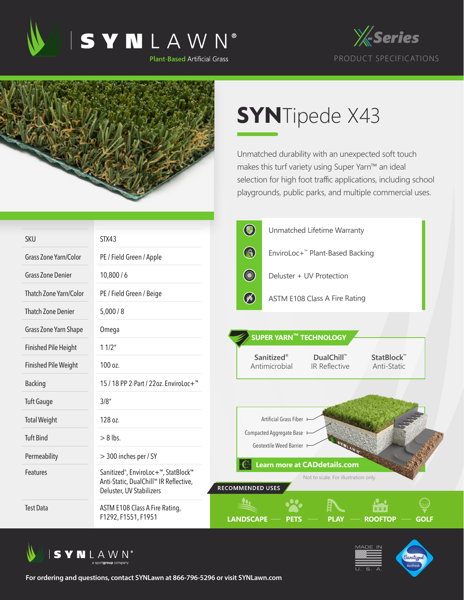





## **SYN**Tipede X43

Unmatched durability with an unexpected soft touch makes this turf variety using Super Yarn™ an ideal selection for high foot traffic applications, including school playgrounds, public parks, and multiple commercial uses.

|                              |                                                                                                                                     | $\bigcirc$                  |                                                     | Unmatched Lifetime Warranty                                                 |                           |      |
|------------------------------|-------------------------------------------------------------------------------------------------------------------------------------|-----------------------------|-----------------------------------------------------|-----------------------------------------------------------------------------|---------------------------|------|
| <b>SKU</b>                   | STX43                                                                                                                               |                             |                                                     |                                                                             |                           |      |
| <b>Grass Zone Yarn/Color</b> | PE / Field Green / Apple                                                                                                            | B                           |                                                     | EnviroLoc+ <sup>™</sup> Plant-Based Backing                                 |                           |      |
| <b>Grass Zone Denier</b>     | 10,800/6                                                                                                                            | <b>CONTROL</b>              |                                                     | Deluster + UV Protection                                                    |                           |      |
| Thatch Zone Yarn/Color       | PE / Field Green / Beige                                                                                                            | $\circledast$               |                                                     | <b>ASTM E108 Class A Fire Rating</b>                                        |                           |      |
| <b>Thatch Zone Denier</b>    | 5,000/8                                                                                                                             |                             |                                                     |                                                                             |                           |      |
| Grass Zone Yarn Shape        | Omega                                                                                                                               |                             |                                                     | SUPER YARN™ TECHNOLOGY                                                      |                           |      |
| <b>Finished Pile Height</b>  | 11/2"                                                                                                                               |                             |                                                     |                                                                             |                           |      |
| <b>Finished Pile Weight</b>  | 100 oz.                                                                                                                             | Sanitized®<br>Antimicrobial |                                                     | DualChill™<br><b>IR Reflective</b>                                          | StatBlock™<br>Anti-Static |      |
| <b>Backing</b>               | 15 / 18 PP 2-Part / 22oz. EnviroLoc+ <sup>™</sup>                                                                                   |                             |                                                     |                                                                             |                           |      |
| <b>Tuft Gauge</b>            | 3/8''                                                                                                                               |                             |                                                     |                                                                             |                           |      |
| <b>Total Weight</b>          | 128 oz.                                                                                                                             |                             | Artificial Grass Fiber                              |                                                                             |                           |      |
| <b>Tuft Bind</b>             | $> 8$ lbs.                                                                                                                          |                             | Compacted Aggregate Base<br>Geotextile Weed Barrier |                                                                             |                           |      |
| Permeability                 | > 300 inches per / SY                                                                                                               |                             |                                                     |                                                                             |                           |      |
| <b>Features</b>              | Sanitized <sup>®</sup> , EnviroLoc+ <sup>™</sup> , StatBlock™<br>Anti-Static, DualChill™ IR Reflective,<br>Deluster, UV Stabilizers | <b>RECOMMENDED USES</b>     |                                                     | <b>Learn more at CADdetails.com</b><br>Not to scale. For illustration only. |                           |      |
| <b>Test Data</b>             | ASTM E108 Class A Fire Rating,<br>F1292, F1551, F1951                                                                               | <b>LANDSCAPE</b>            |                                                     |                                                                             | <b>ROOFTOP</b>            | GOLF |



**For ordering and questions, contact SYNLawn at 866-796-5296 or visit SYNLawn.com**